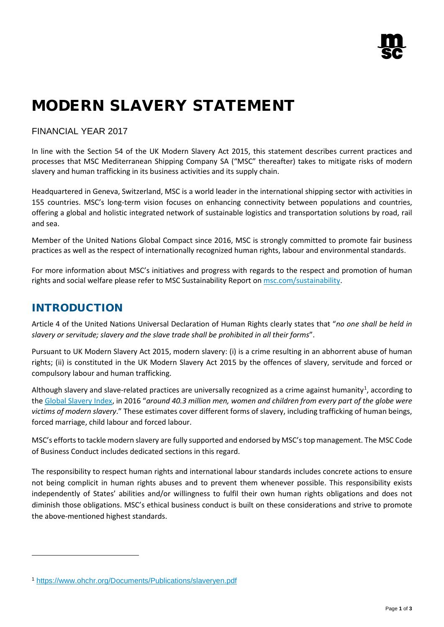# MODERN SLAVERY STATEMENT

### FINANCIAL YEAR 2017

In line with the Section 54 of the UK Modern Slavery Act 2015, this statement describes current practices and processes that MSC Mediterranean Shipping Company SA ("MSC" thereafter) takes to mitigate risks of modern slavery and human trafficking in its business activities and its supply chain.

Headquartered in Geneva, Switzerland, MSC is a world leader in the international shipping sector with activities in 155 countries. MSC's long-term vision focuses on enhancing connectivity between populations and countries, offering a global and holistic integrated network of sustainable logistics and transportation solutions by road, rail and sea.

Member of the United Nations Global Compact since 2016, MSC is strongly committed to promote fair business practices as well as the respect of internationally recognized human rights, labour and environmental standards.

For more information about MSC's initiatives and progress with regards to the respect and promotion of human rights and social welfare please refer to MSC Sustainability Report o[n msc.com/sustainability.](http://www.msc.com/sustainability)

## INTRODUCTION

 $\overline{a}$ 

Article 4 of the United Nations Universal Declaration of Human Rights clearly states that "*no one shall be held in slavery or servitude; slavery and the slave trade shall be prohibited in all their forms*".

Pursuant to UK Modern Slavery Act 2015, modern slavery: (i) is a crime resulting in an abhorrent abuse of human rights; (ii) is constituted in the UK Modern Slavery Act 2015 by the offences of slavery, servitude and forced or compulsory labour and human trafficking.

Although slavery and slave-related practices are universally recognized as a crime against humanity<sup>[1](#page-0-0)</sup>, according to the [Global Slavery Index,](https://www.globalslaveryindex.org/) in 2016 "*around 40.3 million men, women and children from every part of the globe were victims of modern slavery*." These estimates cover different forms of slavery, including trafficking of human beings, forced marriage, child labour and forced labour.

MSC's efforts to tackle modern slavery are fully supported and endorsed by MSC's top management. The MSC Code of Business Conduct includes dedicated sections in this regard.

The responsibility to respect human rights and international labour standards includes concrete actions to ensure not being complicit in human rights abuses and to prevent them whenever possible. This responsibility exists independently of States' abilities and/or willingness to fulfil their own human rights obligations and does not diminish those obligations. MSC's ethical business conduct is built on these considerations and strive to promote the above-mentioned highest standards.

<span id="page-0-0"></span><sup>1</sup> <https://www.ohchr.org/Documents/Publications/slaveryen.pdf>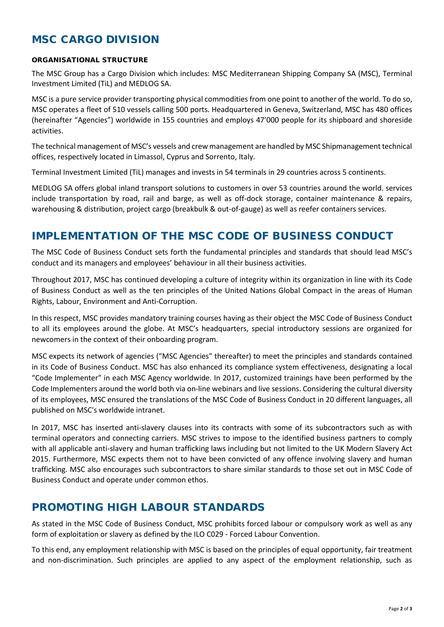## MSC CARGO DIVISION

#### ORGANISATIONAL STRUCTURE

The MSC Group has a Cargo Division which includes: MSC Mediterranean Shipping Company SA (MSC), Terminal Investment Limited (TiL) and MEDLOG SA.

MSC is a pure service provider transporting physical commodities from one point to another of the world. To do so, MSC operates a fleet of 510 vessels calling 500 ports. Headquartered in Geneva, Switzerland, MSC has 480 offices (hereinafter "Agencies") worldwide in 155 countries and employs 47'000 people for its shipboard and shoreside activities.

The technical management of MSC's vessels and crew management are handled by MSC Shipmanagement technical offices, respectively located in Limassol, Cyprus and Sorrento, Italy.

Terminal Investment Limited (TiL) manages and invests in 54 terminals in 29 countries across 5 continents.

MEDLOG SA offers global inland transport solutions to customers in over 53 countries around the world. services include transportation by road, rail and barge, as well as off-dock storage, container maintenance & repairs, warehousing & distribution, project cargo (breakbulk & out-of-gauge) as well as reefer containers services.

## IMPLEMENTATION OF THE MSC CODE OF BUSINESS CONDUCT

The MSC Code of Business Conduct sets forth the fundamental principles and standards that should lead MSC's conduct and its managers and employees' behaviour in all their business activities.

Throughout 2017, MSC has continued developing a culture of integrity within its organization in line with its Code of Business Conduct as well as the ten principles of the United Nations Global Compact in the areas of Human Rights, Labour, Environment and Anti-Corruption.

In this respect, MSC provides mandatory training courses having as their object the MSC Code of Business Conduct to all its employees around the globe. At MSC's headquarters, special introductory sessions are organized for newcomers in the context of their onboarding program.

MSC expects its network of agencies ("MSC Agencies" thereafter) to meet the principles and standards contained in its Code of Business Conduct. MSC has also enhanced its compliance system effectiveness, designating a local "Code Implementer" in each MSC Agency worldwide. In 2017, customized trainings have been performed by the Code Implementers around the world both via on-line webinars and live sessions. Considering the cultural diversity of its employees, MSC ensured the translations of the MSC Code of Business Conduct in 20 different languages, all published on MSC's worldwide intranet.

In 2017, MSC has inserted anti-slavery clauses into its contracts with some of its subcontractors such as with terminal operators and connecting carriers. MSC strives to impose to the identified business partners to comply with all applicable anti-slavery and human trafficking laws including but not limited to the UK Modern Slavery Act 2015. Furthermore, MSC expects them not to have been convicted of any offence involving slavery and human trafficking. MSC also encourages such subcontractors to share similar standards to those set out in MSC Code of Business Conduct and operate under common ethos.

## PROMOTING HIGH LABOUR STANDARDS

As stated in the MSC Code of Business Conduct, MSC prohibits forced labour or compulsory work as well as any form of exploitation or slavery as defined by the ILO C029 - Forced Labour Convention.

To this end, any employment relationship with MSC is based on the principles of equal opportunity, fair treatment and non-discrimination. Such principles are applied to any aspect of the employment relationship, such as